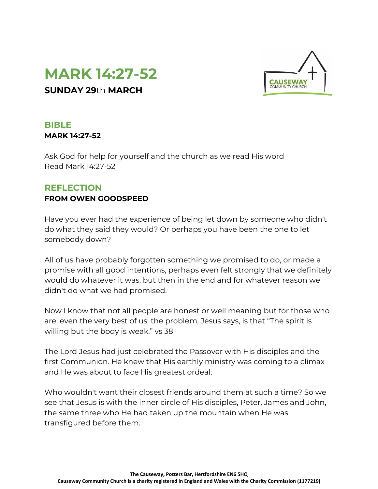



## **BIBLE MARK 14:27-52**

Ask God for help for yourself and the church as we read His word Read Mark 14:27-52

# **REFLECTION**

## **FROM OWEN GOODSPEED**

Have you ever had the experience of being let down by someone who didn't do what they said they would? Or perhaps you have been the one to let somebody down?

All of us have probably forgotten something we promised to do, or made a promise with all good intentions, perhaps even felt strongly that we definitely would do whatever it was, but then in the end and for whatever reason we didn't do what we had promised.

Now I know that not all people are honest or well meaning but for those who are, even the very best of us, the problem, Jesus says, is that "The spirit is willing but the body is weak." vs 38

The Lord Jesus had just celebrated the Passover with His disciples and the first Communion. He knew that His earthly ministry was coming to a climax and He was about to face His greatest ordeal.

Who wouldn't want their closest friends around them at such a time? So we see that Jesus is with the inner circle of His disciples, Peter, James and John, the same three who He had taken up the mountain when He was transfigured before them.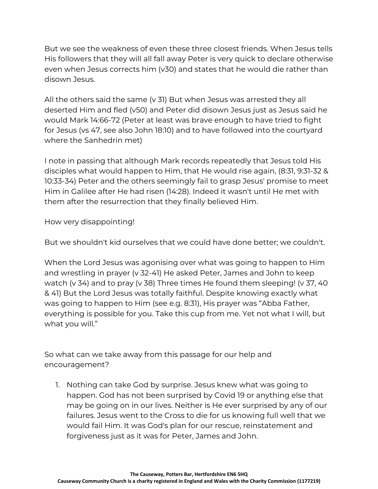But we see the weakness of even these three closest friends. When Jesus tells His followers that they will all fall away Peter is very quick to declare otherwise even when Jesus corrects him (v30) and states that he would die rather than disown Jesus.

All the others said the same ( $v$  31) But when Jesus was arrested they all deserted Him and fled (v50) and Peter did disown Jesus just as Jesus said he would Mark 14:66-72 (Peter at least was brave enough to have tried to fight for Jesus (vs 47, see also John 18:10) and to have followed into the courtyard where the Sanhedrin met)

I note in passing that although Mark records repeatedly that Jesus told His disciples what would happen to Him, that He would rise again, (8:31, 9:31-32 & 10:33-34) Peter and the others seemingly fail to grasp Jesus' promise to meet Him in Galilee after He had risen (14:28). Indeed it wasn't until He met with them after the resurrection that they finally believed Him.

How very disappointing!

But we shouldn't kid ourselves that we could have done better; we couldn't.

When the Lord Jesus was agonising over what was going to happen to Him and wrestling in prayer (v 32-41) He asked Peter, James and John to keep watch (v 34) and to pray (v 38) Three times He found them sleeping! (v 37, 40 & 41) But the Lord Jesus was totally faithful. Despite knowing exactly what was going to happen to Him (see e.g. 8:31), His prayer was "Abba Father, everything is possible for you. Take this cup from me. Yet not what I will, but what you will."

So what can we take away from this passage for our help and encouragement?

1. Nothing can take God by surprise. Jesus knew what was going to happen. God has not been surprised by Covid 19 or anything else that may be going on in our lives. Neither is He ever surprised by any of our failures. Jesus went to the Cross to die for us knowing full well that we would fail Him. It was God's plan for our rescue, reinstatement and forgiveness just as it was for Peter, James and John.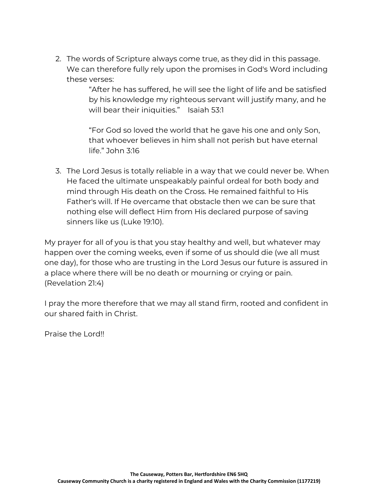2. The words of Scripture always come true, as they did in this passage. We can therefore fully rely upon the promises in God's Word including these verses:

> "After he has suffered, he will see the light of life and be satisfied by his knowledge my righteous servant will justify many, and he will bear their iniquities." Isaiah 53:1

"For God so loved the world that he gave his one and only Son, that whoever believes in him shall not perish but have eternal life." John 3:16

3. The Lord Jesus is totally reliable in a way that we could never be. When He faced the ultimate unspeakably painful ordeal for both body and mind through His death on the Cross. He remained faithful to His Father's will. If He overcame that obstacle then we can be sure that nothing else will deflect Him from His declared purpose of saving sinners like us (Luke 19:10).

My prayer for all of you is that you stay healthy and well, but whatever may happen over the coming weeks, even if some of us should die (we all must one day), for those who are trusting in the Lord Jesus our future is assured in a place where there will be no death or mourning or crying or pain. (Revelation 21:4)

I pray the more therefore that we may all stand firm, rooted and confident in our shared faith in Christ.

Praise the Lord!!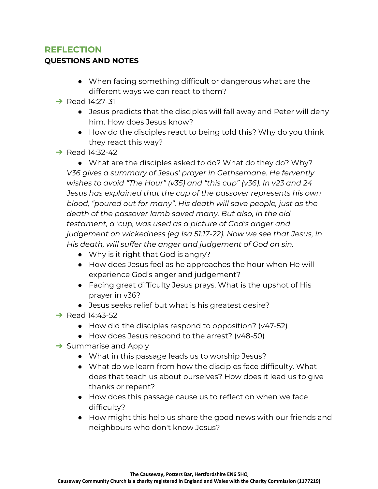# **REFLECTION**

### **QUESTIONS AND NOTES**

- When facing something difficult or dangerous what are the different ways we can react to them?
- $\rightarrow$  Read 14:27-31
	- Jesus predicts that the disciples will fall away and Peter will deny him. How does Jesus know?
	- How do the disciples react to being told this? Why do you think they react this way?
- $\rightarrow$  Read 14:32-42

● What are the disciples asked to do? What do they do? Why? *V36 gives a summary of Jesus' prayer in Gethsemane. He fervently wishes to avoid "The Hour" (v35) and "this cup" (v36). In v23 and 24 Jesus has explained that the cup of the passover represents his own blood, "poured out for many". His death will save people, just as the death of the passover lamb saved many. But also, in the old testament, a 'cup, was used as a picture of God's anger and judgement on wickedness (eg Isa 51:17-22). Now we see that Jesus, in His death, will suffer the anger and judgement of God on sin.*

- Why is it right that God is angry?
- How does Jesus feel as he approaches the hour when He will experience God's anger and judgement?
- Facing great difficulty Jesus prays. What is the upshot of His prayer in v36?
- Jesus seeks relief but what is his greatest desire?
- $\rightarrow$  Read 14:43-52
	- How did the disciples respond to opposition? (v47-52)
	- How does Jesus respond to the arrest? (v48-50)
- $\rightarrow$  Summarise and Apply
	- What in this passage leads us to worship Jesus?
	- What do we learn from how the disciples face difficulty. What does that teach us about ourselves? How does it lead us to give thanks or repent?
	- How does this passage cause us to reflect on when we face difficulty?
	- How might this help us share the good news with our friends and neighbours who don't know Jesus?